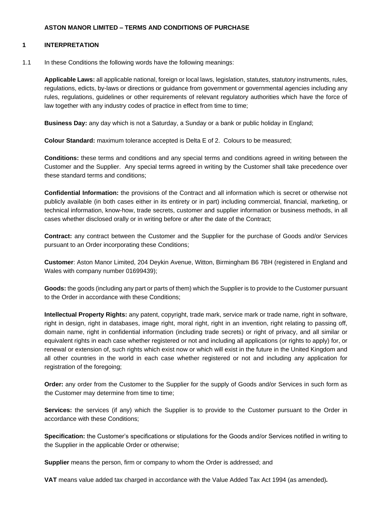#### **ASTON MANOR LIMITED – TERMS AND CONDITIONS OF PURCHASE**

#### **1 INTERPRETATION**

#### 1.1 In these Conditions the following words have the following meanings:

**Applicable Laws:** all applicable national, foreign or local laws, legislation, statutes, statutory instruments, rules, regulations, edicts, by-laws or directions or guidance from government or governmental agencies including any rules, regulations, guidelines or other requirements of relevant regulatory authorities which have the force of law together with any industry codes of practice in effect from time to time;

**Business Day:** any day which is not a Saturday, a Sunday or a bank or public holiday in England;

**Colour Standard:** maximum tolerance accepted is Delta E of 2. Colours to be measured;

**Conditions:** these terms and conditions and any special terms and conditions agreed in writing between the Customer and the Supplier. Any special terms agreed in writing by the Customer shall take precedence over these standard terms and conditions;

**Confidential Information:** the provisions of the Contract and all information which is secret or otherwise not publicly available (in both cases either in its entirety or in part) including commercial, financial, marketing, or technical information, know-how, trade secrets, customer and supplier information or business methods, in all cases whether disclosed orally or in writing before or after the date of the Contract;

**Contract:** any contract between the Customer and the Supplier for the purchase of Goods and/or Services pursuant to an Order incorporating these Conditions;

**Customer**: Aston Manor Limited, 204 Deykin Avenue, Witton, Birmingham B6 7BH (registered in England and Wales with company number 01699439);

**Goods:** the goods (including any part or parts of them) which the Supplier is to provide to the Customer pursuant to the Order in accordance with these Conditions;

**Intellectual Property Rights:** any patent, copyright, trade mark, service mark or trade name, right in software, right in design, right in databases, image right, moral right, right in an invention, right relating to passing off, domain name, right in confidential information (including trade secrets) or right of privacy, and all similar or equivalent rights in each case whether registered or not and including all applications (or rights to apply) for, or renewal or extension of, such rights which exist now or which will exist in the future in the United Kingdom and all other countries in the world in each case whether registered or not and including any application for registration of the foregoing;

**Order:** any order from the Customer to the Supplier for the supply of Goods and/or Services in such form as the Customer may determine from time to time;

**Services:** the services (if any) which the Supplier is to provide to the Customer pursuant to the Order in accordance with these Conditions;

**Specification:** the Customer's specifications or stipulations for the Goods and/or Services notified in writing to the Supplier in the applicable Order or otherwise;

**Supplier** means the person, firm or company to whom the Order is addressed; and

**VAT** means value added tax charged in accordance with the Value Added Tax Act 1994 (as amended)*.*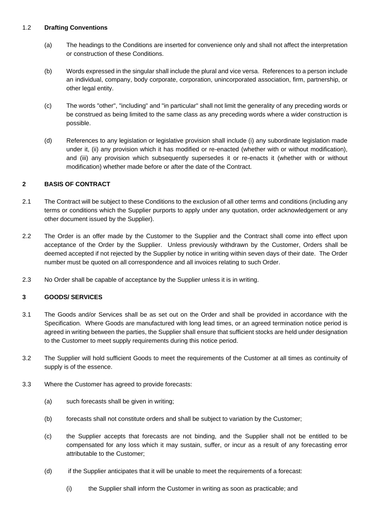### 1.2 **Drafting Conventions**

- (a) The headings to the Conditions are inserted for convenience only and shall not affect the interpretation or construction of these Conditions.
- (b) Words expressed in the singular shall include the plural and vice versa. References to a person include an individual, company, body corporate, corporation, unincorporated association, firm, partnership, or other legal entity.
- (c) The words "other", "including" and "in particular" shall not limit the generality of any preceding words or be construed as being limited to the same class as any preceding words where a wider construction is possible.
- (d) References to any legislation or legislative provision shall include (i) any subordinate legislation made under it, (ii) any provision which it has modified or re-enacted (whether with or without modification), and (iii) any provision which subsequently supersedes it or re-enacts it (whether with or without modification) whether made before or after the date of the Contract.

## **2 BASIS OF CONTRACT**

- 2.1 The Contract will be subject to these Conditions to the exclusion of all other terms and conditions (including any terms or conditions which the Supplier purports to apply under any quotation, order acknowledgement or any other document issued by the Supplier).
- 2.2 The Order is an offer made by the Customer to the Supplier and the Contract shall come into effect upon acceptance of the Order by the Supplier. Unless previously withdrawn by the Customer, Orders shall be deemed accepted if not rejected by the Supplier by notice in writing within seven days of their date. The Order number must be quoted on all correspondence and all invoices relating to such Order.
- 2.3 No Order shall be capable of acceptance by the Supplier unless it is in writing.

#### **3 GOODS/ SERVICES**

- 3.1 The Goods and/or Services shall be as set out on the Order and shall be provided in accordance with the Specification. Where Goods are manufactured with long lead times, or an agreed termination notice period is agreed in writing between the parties, the Supplier shall ensure that sufficient stocks are held under designation to the Customer to meet supply requirements during this notice period.
- 3.2 The Supplier will hold sufficient Goods to meet the requirements of the Customer at all times as continuity of supply is of the essence.
- 3.3 Where the Customer has agreed to provide forecasts:
	- (a) such forecasts shall be given in writing;
	- (b) forecasts shall not constitute orders and shall be subject to variation by the Customer;
	- (c) the Supplier accepts that forecasts are not binding, and the Supplier shall not be entitled to be compensated for any loss which it may sustain, suffer, or incur as a result of any forecasting error attributable to the Customer;
	- (d) if the Supplier anticipates that it will be unable to meet the requirements of a forecast:
		- (i) the Supplier shall inform the Customer in writing as soon as practicable; and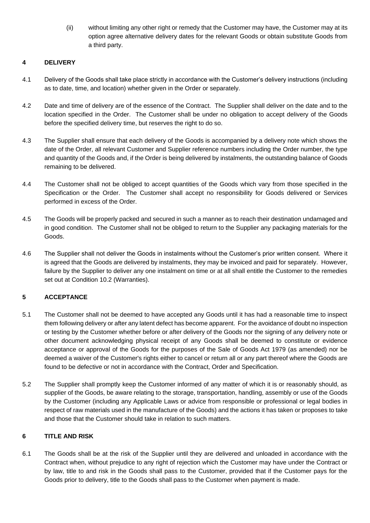(ii) without limiting any other right or remedy that the Customer may have, the Customer may at its option agree alternative delivery dates for the relevant Goods or obtain substitute Goods from a third party.

## **4 DELIVERY**

- 4.1 Delivery of the Goods shall take place strictly in accordance with the Customer's delivery instructions (including as to date, time, and location) whether given in the Order or separately.
- 4.2 Date and time of delivery are of the essence of the Contract. The Supplier shall deliver on the date and to the location specified in the Order. The Customer shall be under no obligation to accept delivery of the Goods before the specified delivery time, but reserves the right to do so.
- 4.3 The Supplier shall ensure that each delivery of the Goods is accompanied by a delivery note which shows the date of the Order, all relevant Customer and Supplier reference numbers including the Order number, the type and quantity of the Goods and, if the Order is being delivered by instalments, the outstanding balance of Goods remaining to be delivered.
- 4.4 The Customer shall not be obliged to accept quantities of the Goods which vary from those specified in the Specification or the Order. The Customer shall accept no responsibility for Goods delivered or Services performed in excess of the Order.
- 4.5 The Goods will be properly packed and secured in such a manner as to reach their destination undamaged and in good condition. The Customer shall not be obliged to return to the Supplier any packaging materials for the Goods.
- 4.6 The Supplier shall not deliver the Goods in instalments without the Customer's prior written consent. Where it is agreed that the Goods are delivered by instalments, they may be invoiced and paid for separately. However, failure by the Supplier to deliver any one instalment on time or at all shall entitle the Customer to the remedies set out at Condition [10.2](#page-5-0) (Warranties).

# **5 ACCEPTANCE**

- 5.1 The Customer shall not be deemed to have accepted any Goods until it has had a reasonable time to inspect them following delivery or after any latent defect has become apparent. For the avoidance of doubt no inspection or testing by the Customer whether before or after delivery of the Goods nor the signing of any delivery note or other document acknowledging physical receipt of any Goods shall be deemed to constitute or evidence acceptance or approval of the Goods for the purposes of the Sale of Goods Act 1979 (as amended) nor be deemed a waiver of the Customer's rights either to cancel or return all or any part thereof where the Goods are found to be defective or not in accordance with the Contract, Order and Specification.
- 5.2 The Supplier shall promptly keep the Customer informed of any matter of which it is or reasonably should, as supplier of the Goods, be aware relating to the storage, transportation, handling, assembly or use of the Goods by the Customer (including any Applicable Laws or advice from responsible or professional or legal bodies in respect of raw materials used in the manufacture of the Goods) and the actions it has taken or proposes to take and those that the Customer should take in relation to such matters.

## **6 TITLE AND RISK**

6.1 The Goods shall be at the risk of the Supplier until they are delivered and unloaded in accordance with the Contract when, without prejudice to any right of rejection which the Customer may have under the Contract or by law, title to and risk in the Goods shall pass to the Customer, provided that if the Customer pays for the Goods prior to delivery, title to the Goods shall pass to the Customer when payment is made.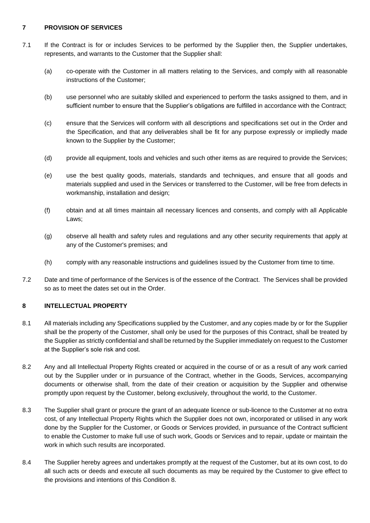## **7 PROVISION OF SERVICES**

- <span id="page-3-1"></span>7.1 If the Contract is for or includes Services to be performed by the Supplier then, the Supplier undertakes, represents, and warrants to the Customer that the Supplier shall:
	- (a) co-operate with the Customer in all matters relating to the Services, and comply with all reasonable instructions of the Customer;
	- (b) use personnel who are suitably skilled and experienced to perform the tasks assigned to them, and in sufficient number to ensure that the Supplier's obligations are fulfilled in accordance with the Contract;
	- (c) ensure that the Services will conform with all descriptions and specifications set out in the Order and the Specification, and that any deliverables shall be fit for any purpose expressly or impliedly made known to the Supplier by the Customer;
	- (d) provide all equipment, tools and vehicles and such other items as are required to provide the Services;
	- (e) use the best quality goods, materials, standards and techniques, and ensure that all goods and materials supplied and used in the Services or transferred to the Customer, will be free from defects in workmanship, installation and design;
	- (f) obtain and at all times maintain all necessary licences and consents, and comply with all Applicable Laws;
	- (g) observe all health and safety rules and regulations and any other security requirements that apply at any of the Customer's premises; and
	- (h) comply with any reasonable instructions and guidelines issued by the Customer from time to time.
- 7.2 Date and time of performance of the Services is of the essence of the Contract. The Services shall be provided so as to meet the dates set out in the Order.

## <span id="page-3-0"></span>**8 INTELLECTUAL PROPERTY**

- 8.1 All materials including any Specifications supplied by the Customer, and any copies made by or for the Supplier shall be the property of the Customer, shall only be used for the purposes of this Contract, shall be treated by the Supplier as strictly confidential and shall be returned by the Supplier immediately on request to the Customer at the Supplier's sole risk and cost.
- 8.2 Any and all Intellectual Property Rights created or acquired in the course of or as a result of any work carried out by the Supplier under or in pursuance of the Contract, whether in the Goods, Services, accompanying documents or otherwise shall, from the date of their creation or acquisition by the Supplier and otherwise promptly upon request by the Customer, belong exclusively, throughout the world, to the Customer.
- 8.3 The Supplier shall grant or procure the grant of an adequate licence or sub-licence to the Customer at no extra cost, of any Intellectual Property Rights which the Supplier does not own, incorporated or utilised in any work done by the Supplier for the Customer, or Goods or Services provided, in pursuance of the Contract sufficient to enable the Customer to make full use of such work, Goods or Services and to repair, update or maintain the work in which such results are incorporated.
- 8.4 The Supplier hereby agrees and undertakes promptly at the request of the Customer, but at its own cost, to do all such acts or deeds and execute all such documents as may be required by the Customer to give effect to the provisions and intentions of this Condition [8.](#page-3-0)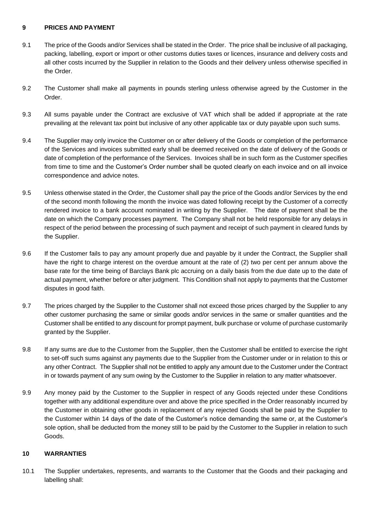### **9 PRICES AND PAYMENT**

- 9.1 The price of the Goods and/or Services shall be stated in the Order. The price shall be inclusive of all packaging, packing, labelling, export or import or other customs duties taxes or licences, insurance and delivery costs and all other costs incurred by the Supplier in relation to the Goods and their delivery unless otherwise specified in the Order.
- 9.2 The Customer shall make all payments in pounds sterling unless otherwise agreed by the Customer in the Order.
- 9.3 All sums payable under the Contract are exclusive of VAT which shall be added if appropriate at the rate prevailing at the relevant tax point but inclusive of any other applicable tax or duty payable upon such sums.
- 9.4 The Supplier may only invoice the Customer on or after delivery of the Goods or completion of the performance of the Services and invoices submitted early shall be deemed received on the date of delivery of the Goods or date of completion of the performance of the Services. Invoices shall be in such form as the Customer specifies from time to time and the Customer's Order number shall be quoted clearly on each invoice and on all invoice correspondence and advice notes.
- 9.5 Unless otherwise stated in the Order, the Customer shall pay the price of the Goods and/or Services by the end of the second month following the month the invoice was dated following receipt by the Customer of a correctly rendered invoice to a bank account nominated in writing by the Supplier. The date of payment shall be the date on which the Company processes payment. The Company shall not be held responsible for any delays in respect of the period between the processing of such payment and receipt of such payment in cleared funds by the Supplier.
- 9.6 If the Customer fails to pay any amount properly due and payable by it under the Contract, the Supplier shall have the right to charge interest on the overdue amount at the rate of (2) two per cent per annum above the base rate for the time being of Barclays Bank plc accruing on a daily basis from the due date up to the date of actual payment, whether before or after judgment. This Condition shall not apply to payments that the Customer disputes in good faith.
- 9.7 The prices charged by the Supplier to the Customer shall not exceed those prices charged by the Supplier to any other customer purchasing the same or similar goods and/or services in the same or smaller quantities and the Customer shall be entitled to any discount for prompt payment, bulk purchase or volume of purchase customarily granted by the Supplier.
- 9.8 If any sums are due to the Customer from the Supplier, then the Customer shall be entitled to exercise the right to set-off such sums against any payments due to the Supplier from the Customer under or in relation to this or any other Contract. The Supplier shall not be entitled to apply any amount due to the Customer under the Contract in or towards payment of any sum owing by the Customer to the Supplier in relation to any matter whatsoever.
- 9.9 Any money paid by the Customer to the Supplier in respect of any Goods rejected under these Conditions together with any additional expenditure over and above the price specified in the Order reasonably incurred by the Customer in obtaining other goods in replacement of any rejected Goods shall be paid by the Supplier to the Customer within 14 days of the date of the Customer's notice demanding the same or, at the Customer's sole option, shall be deducted from the money still to be paid by the Customer to the Supplier in relation to such Goods.

## **10 WARRANTIES**

<span id="page-4-0"></span>10.1 The Supplier undertakes, represents, and warrants to the Customer that the Goods and their packaging and labelling shall: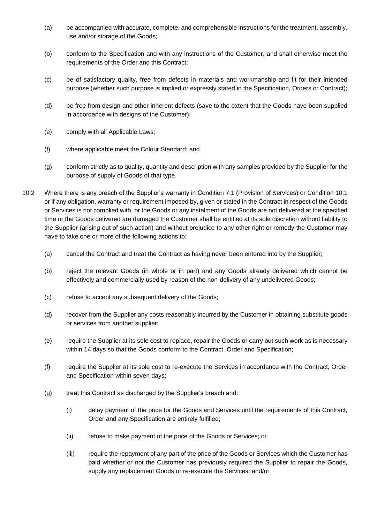- (a) be accompanied with accurate, complete, and comprehensible instructions for the treatment, assembly, use and/or storage of the Goods;
- (b) conform to the Specification and with any instructions of the Customer, and shall otherwise meet the requirements of the Order and this Contract;
- (c) be of satisfactory quality, free from defects in materials and workmanship and fit for their intended purpose (whether such purpose is implied or expressly stated in the Specification, Orders or Contract);
- (d) be free from design and other inherent defects (save to the extent that the Goods have been supplied in accordance with designs of the Customer);
- (e) comply with all Applicable Laws;
- (f) where applicable meet the Colour Standard; and
- (g) conform strictly as to quality, quantity and description with any samples provided by the Supplier for the purpose of supply of Goods of that type.
- <span id="page-5-0"></span>10.2 Where there is any breach of the Supplier's warranty in Condition [7.1](#page-3-1) (Provision of Services) or Condition [10.1](#page-4-0) or if any obligation, warranty or requirement imposed by, given or stated in the Contract in respect of the Goods or Services is not complied with, or the Goods or any instalment of the Goods are not delivered at the specified time or the Goods delivered are damaged the Customer shall be entitled at its sole discretion without liability to the Supplier (arising out of such action) and without prejudice to any other right or remedy the Customer may have to take one or more of the following actions to:
	- (a) cancel the Contract and treat the Contract as having never been entered into by the Supplier;
	- (b) reject the relevant Goods (in whole or in part) and any Goods already delivered which cannot be effectively and commercially used by reason of the non-delivery of any undelivered Goods;
	- (c) refuse to accept any subsequent delivery of the Goods;
	- (d) recover from the Supplier any costs reasonably incurred by the Customer in obtaining substitute goods or services from another supplier;
	- (e) require the Supplier at its sole cost to replace, repair the Goods or carry out such work as is necessary within 14 days so that the Goods conform to the Contract, Order and Specification;
	- (f) require the Supplier at its sole cost to re-execute the Services in accordance with the Contract, Order and Specification within seven days;
	- (g) treat this Contract as discharged by the Supplier's breach and:
		- (i) delay payment of the price for the Goods and Services until the requirements of this Contract, Order and any Specification are entirely fulfilled;
		- (ii) refuse to make payment of the price of the Goods or Services; or
		- (iii) require the repayment of any part of the price of the Goods or Services which the Customer has paid whether or not the Customer has previously required the Supplier to repair the Goods, supply any replacement Goods or re-execute the Services; and/or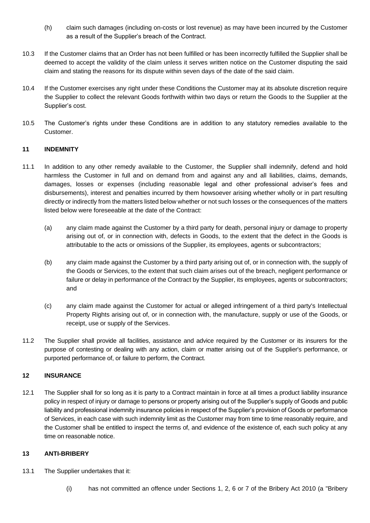- (h) claim such damages (including on-costs or lost revenue) as may have been incurred by the Customer as a result of the Supplier's breach of the Contract.
- 10.3 If the Customer claims that an Order has not been fulfilled or has been incorrectly fulfilled the Supplier shall be deemed to accept the validity of the claim unless it serves written notice on the Customer disputing the said claim and stating the reasons for its dispute within seven days of the date of the said claim.
- 10.4 If the Customer exercises any right under these Conditions the Customer may at its absolute discretion require the Supplier to collect the relevant Goods forthwith within two days or return the Goods to the Supplier at the Supplier's cost.
- 10.5 The Customer's rights under these Conditions are in addition to any statutory remedies available to the Customer.

#### **11 INDEMNITY**

- 11.1 In addition to any other remedy available to the Customer, the Supplier shall indemnify, defend and hold harmless the Customer in full and on demand from and against any and all liabilities, claims, demands, damages, losses or expenses (including reasonable legal and other professional adviser's fees and disbursements), interest and penalties incurred by them howsoever arising whether wholly or in part resulting directly or indirectly from the matters listed below whether or not such losses or the consequences of the matters listed below were foreseeable at the date of the Contract:
	- (a) any claim made against the Customer by a third party for death, personal injury or damage to property arising out of, or in connection with, defects in Goods, to the extent that the defect in the Goods is attributable to the acts or omissions of the Supplier, its employees, agents or subcontractors;
	- (b) any claim made against the Customer by a third party arising out of, or in connection with, the supply of the Goods or Services, to the extent that such claim arises out of the breach, negligent performance or failure or delay in performance of the Contract by the Supplier, its employees, agents or subcontractors; and
	- (c) any claim made against the Customer for actual or alleged infringement of a third party's Intellectual Property Rights arising out of, or in connection with, the manufacture, supply or use of the Goods, or receipt, use or supply of the Services.
- 11.2 The Supplier shall provide all facilities, assistance and advice required by the Customer or its insurers for the purpose of contesting or dealing with any action, claim or matter arising out of the Supplier's performance, or purported performance of, or failure to perform, the Contract.

## **12 INSURANCE**

12.1 The Supplier shall for so long as it is party to a Contract maintain in force at all times a product liability insurance policy in respect of injury or damage to persons or property arising out of the Supplier's supply of Goods and public liability and professional indemnity insurance policies in respect of the Supplier's provision of Goods or performance of Services, in each case with such indemnity limit as the Customer may from time to time reasonably require, and the Customer shall be entitled to inspect the terms of, and evidence of the existence of, each such policy at any time on reasonable notice.

### **13 ANTI-BRIBERY**

- 13.1 The Supplier undertakes that it:
	- (i) has not committed an offence under Sections 1, 2, 6 or 7 of the Bribery Act 2010 (a "Bribery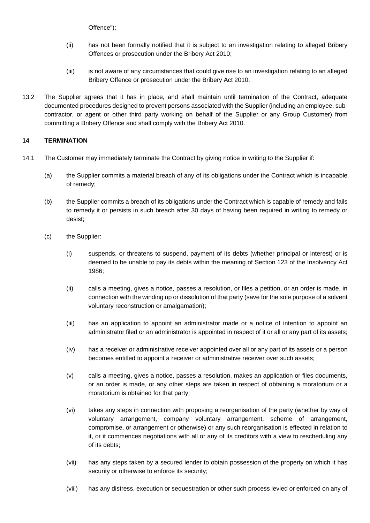Offence");

- (ii) has not been formally notified that it is subject to an investigation relating to alleged Bribery Offences or prosecution under the Bribery Act 2010;
- (iii) is not aware of any circumstances that could give rise to an investigation relating to an alleged Bribery Offence or prosecution under the Bribery Act 2010.
- 13.2 The Supplier agrees that it has in place, and shall maintain until termination of the Contract, adequate documented procedures designed to prevent persons associated with the Supplier (including an employee, subcontractor, or agent or other third party working on behalf of the Supplier or any Group Customer) from committing a Bribery Offence and shall comply with the Bribery Act 2010.

#### **14 TERMINATION**

- <span id="page-7-0"></span>14.1 The Customer may immediately terminate the Contract by giving notice in writing to the Supplier if:
	- (a) the Supplier commits a material breach of any of its obligations under the Contract which is incapable of remedy;
	- (b) the Supplier commits a breach of its obligations under the Contract which is capable of remedy and fails to remedy it or persists in such breach after 30 days of having been required in writing to remedy or desist;
	- (c) the Supplier:
		- (i) suspends, or threatens to suspend, payment of its debts (whether principal or interest) or is deemed to be unable to pay its debts within the meaning of Section 123 of the Insolvency Act 1986;
		- (ii) calls a meeting, gives a notice, passes a resolution, or files a petition, or an order is made, in connection with the winding up or dissolution of that party (save for the sole purpose of a solvent voluntary reconstruction or amalgamation);
		- (iii) has an application to appoint an administrator made or a notice of intention to appoint an administrator filed or an administrator is appointed in respect of it or all or any part of its assets;
		- (iv) has a receiver or administrative receiver appointed over all or any part of its assets or a person becomes entitled to appoint a receiver or administrative receiver over such assets;
		- (v) calls a meeting, gives a notice, passes a resolution, makes an application or files documents, or an order is made, or any other steps are taken in respect of obtaining a moratorium or a moratorium is obtained for that party;
		- (vi) takes any steps in connection with proposing a reorganisation of the party (whether by way of voluntary arrangement, company voluntary arrangement, scheme of arrangement, compromise, or arrangement or otherwise) or any such reorganisation is effected in relation to it, or it commences negotiations with all or any of its creditors with a view to rescheduling any of its debts;
		- (vii) has any steps taken by a secured lender to obtain possession of the property on which it has security or otherwise to enforce its security;
		- (viii) has any distress, execution or sequestration or other such process levied or enforced on any of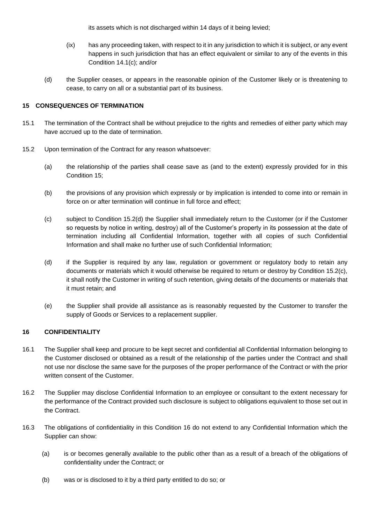its assets which is not discharged within 14 days of it being levied;

- (ix) has any proceeding taken, with respect to it in any jurisdiction to which it is subject, or any event happens in such jurisdiction that has an effect equivalent or similar to any of the events in this Condition [14.1\(c\);](#page-7-0) and/or
- (d) the Supplier ceases, or appears in the reasonable opinion of the Customer likely or is threatening to cease, to carry on all or a substantial part of its business.

### **15 CONSEQUENCES OF TERMINATION**

- 15.1 The termination of the Contract shall be without prejudice to the rights and remedies of either party which may have accrued up to the date of termination.
- 15.2 Upon termination of the Contract for any reason whatsoever:
	- (a) the relationship of the parties shall cease save as (and to the extent) expressly provided for in this Condition 15;
	- (b) the provisions of any provision which expressly or by implication is intended to come into or remain in force on or after termination will continue in full force and effect;
	- (c) subject to Condition 15.2(d) the Supplier shall immediately return to the Customer (or if the Customer so requests by notice in writing, destroy) all of the Customer's property in its possession at the date of termination including all Confidential Information, together with all copies of such Confidential Information and shall make no further use of such Confidential Information;
	- (d) if the Supplier is required by any law, regulation or government or regulatory body to retain any documents or materials which it would otherwise be required to return or destroy by Condition 15.2(c), it shall notify the Customer in writing of such retention, giving details of the documents or materials that it must retain; and
	- (e) the Supplier shall provide all assistance as is reasonably requested by the Customer to transfer the supply of Goods or Services to a replacement supplier.

### <span id="page-8-0"></span>**16 CONFIDENTIALITY**

- 16.1 The Supplier shall keep and procure to be kept secret and confidential all Confidential Information belonging to the Customer disclosed or obtained as a result of the relationship of the parties under the Contract and shall not use nor disclose the same save for the purposes of the proper performance of the Contract or with the prior written consent of the Customer.
- 16.2 The Supplier may disclose Confidential Information to an employee or consultant to the extent necessary for the performance of the Contract provided such disclosure is subject to obligations equivalent to those set out in the Contract.
- 16.3 The obligations of confidentiality in this Condition [16](#page-8-0) do not extend to any Confidential Information which the Supplier can show:
	- (a) is or becomes generally available to the public other than as a result of a breach of the obligations of confidentiality under the Contract; or
	- (b) was or is disclosed to it by a third party entitled to do so; or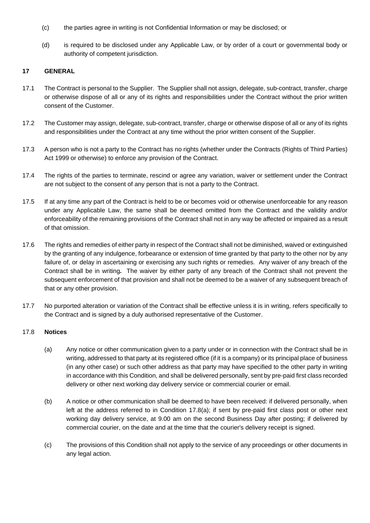- (c) the parties agree in writing is not Confidential Information or may be disclosed; or
- (d) is required to be disclosed under any Applicable Law, or by order of a court or governmental body or authority of competent jurisdiction.

### **17 GENERAL**

- 17.1 The Contract is personal to the Supplier.The Supplier shall not assign, delegate, sub-contract, transfer, charge or otherwise dispose of all or any of its rights and responsibilities under the Contract without the prior written consent of the Customer.
- 17.2 The Customer may assign, delegate, sub-contract, transfer, charge or otherwise dispose of all or any of its rights and responsibilities under the Contract at any time without the prior written consent of the Supplier.
- 17.3 A person who is not a party to the Contract has no rights (whether under the Contracts (Rights of Third Parties) Act 1999 or otherwise) to enforce any provision of the Contract.
- 17.4 The rights of the parties to terminate, rescind or agree any variation, waiver or settlement under the Contract are not subject to the consent of any person that is not a party to the Contract.
- 17.5 If at any time any part of the Contract is held to be or becomes void or otherwise unenforceable for any reason under any Applicable Law, the same shall be deemed omitted from the Contract and the validity and/or enforceability of the remaining provisions of the Contract shall not in any way be affected or impaired as a result of that omission.
- 17.6 The rights and remedies of either party in respect of the Contract shall not be diminished, waived or extinguished by the granting of any indulgence, forbearance or extension of time granted by that party to the other nor by any failure of, or delay in ascertaining or exercising any such rights or remedies. Any waiver of any breach of the Contract shall be in writing*.* The waiver by either party of any breach of the Contract shall not prevent the subsequent enforcement of that provision and shall not be deemed to be a waiver of any subsequent breach of that or any other provision.
- 17.7 No purported alteration or variation of the Contract shall be effective unless it is in writing, refers specifically to the Contract and is signed by a duly authorised representative of the Customer.

#### 17.8 **Notices**

- (a) Any notice or other communication given to a party under or in connection with the Contract shall be in writing, addressed to that party at its registered office (if it is a company) or its principal place of business (in any other case) or such other address as that party may have specified to the other party in writing in accordance with this Condition, and shall be delivered personally, sent by pre-paid first class recorded delivery or other next working day delivery service or commercial courier or email.
- (b) A notice or other communication shall be deemed to have been received: if delivered personally, when left at the address referred to in Condition 17.8(a); if sent by pre-paid first class post or other next working day delivery service, at 9.00 am on the second Business Day after posting; if delivered by commercial courier, on the date and at the time that the courier's delivery receipt is signed.
- (c) The provisions of this Condition shall not apply to the service of any proceedings or other documents in any legal action.